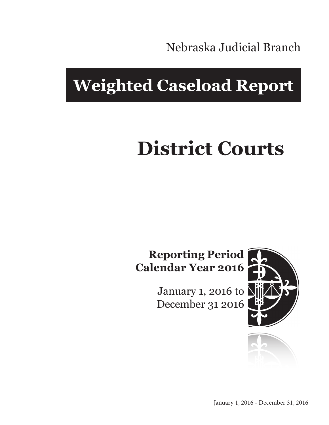Nebraska Judicial Branch

## **Weighted Caseload Report**

# **District Courts**

### **Reporting Period Calendar Year 2016**

January 1, 2016 to December 31 2016



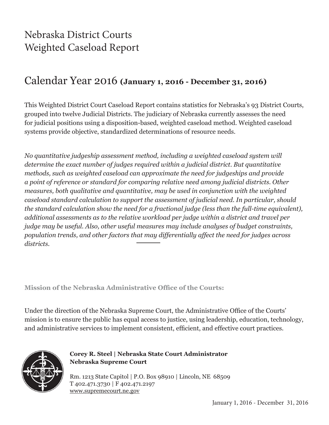### Nebraska District Courts Weighted Caseload Report

### Calendar Year 2016 **(January 1, 2016 - December 31, 2016)**

This Weighted District Court Caseload Report contains statistics for Nebraska's 93 District Courts, grouped into twelve Judicial Districts. The judiciary of Nebraska currently assesses the need for judicial positions using a disposition-based, weighted caseload method. Weighted caseload systems provide objective, standardized determinations of resource needs.

*No quantitative judgeship assessment method, including a weighted caseload system will determine the exact number of judges required within a judicial district. But quantitative methods, such as weighted caseload can approximate the need for judgeships and provide a point of reference or standard for comparing relative need among judicial districts. Other measures, both qualitative and quantitative, may be used in conjunction with the weighted caseload standard calculation to support the assessment of judicial need. In particular, should the standard calculation show the need for a fractional judge (less than the full-time equivalent), additional assessments as to the relative workload per judge within a district and travel per judge may be useful. Also, other useful measures may include analyses of budget constraints, population trends, and other factors that may differentially affect the need for judges across districts.*

**Mission of the Nebraska Administrative Office of the Courts:**

Under the direction of the Nebraska Supreme Court, the Administrative Office of the Courts' mission is to ensure the public has equal access to justice, using leadership, education, technology, and administrative services to implement consistent, efficient, and effective court practices.



**Corey R. Steel | Nebraska State Court Administrator Nebraska Supreme Court**

Rm. 1213 State Capitol | P.O. Box 98910 | Lincoln, NE 68509 T 402.471.3730 | F 402.471.2197 www.supremecourt.ne.gov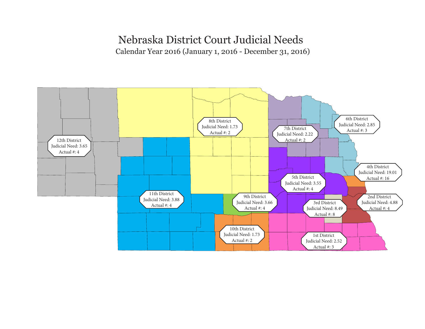### Nebraska District Court Judicial Needs

Calendar Year 2016 (January 1, 2016 - December 31, 2016)

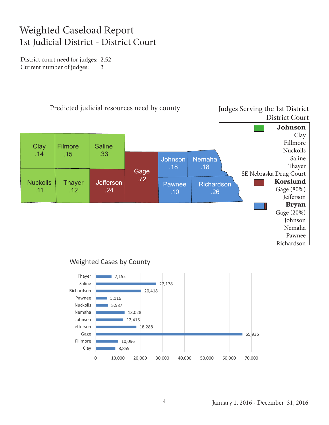### Weighted Caseload Report 1st Judicial District - District Court

District court need for judges: 2.52 Current number of judges: 3





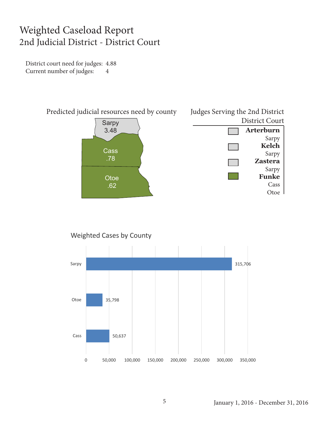### Weighted Caseload Report 2nd Judicial District - District Court

District court need for judges: 4.88 Current number of judges: 4



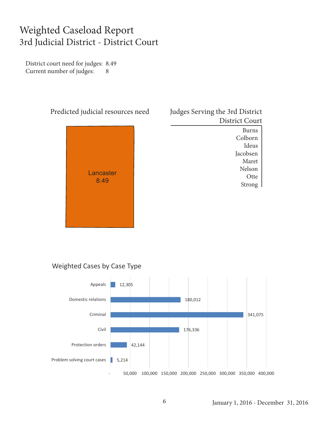### Weighted Caseload Report 3rd Judicial District - District Court

District court need for judges: 8.49 Current number of judges: 8



| Judges Serving the 3rd District |
|---------------------------------|
| District Court                  |
|                                 |

Burns Colborn Ideus Jacobsen Maret Nelson **Otte** Strong

#### Weighted Cases by Case Type

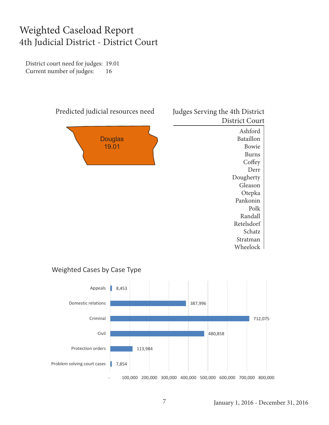### Weighted Caseload Report 4th Judicial District - District Court

District court need for judges: 19.01 Current number of judges: 16



#### District Court Ashford Bataillon Bowie Burns **Coffey** Derr Dougherty Gleason Otepka Pankonin

Polk Randall Retelsdorf Schatz Stratman Wheelock

#### Weighted Cases by Case Type

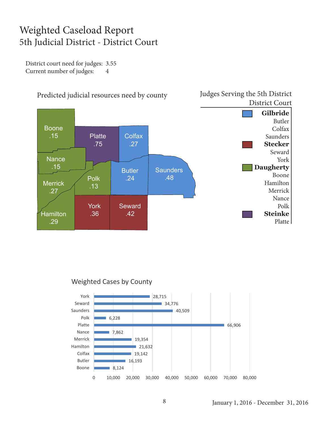### Weighted Caseload Report 5th Judicial District - District Court

District court need for judges: 3.55 Current number of judges: 4



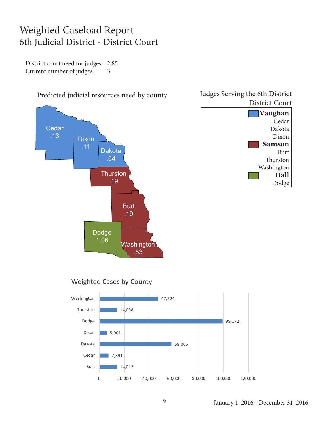### Weighted Caseload Report 6th Judicial District - District Court

District court need for judges: 2.85 Current number of judges: 3

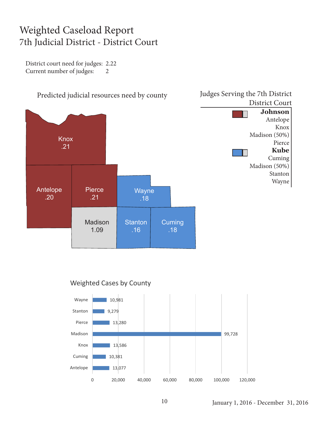### Weighted Caseload Report 7th Judicial District - District Court

District court need for judges: 2.22 Current number of judges: 2





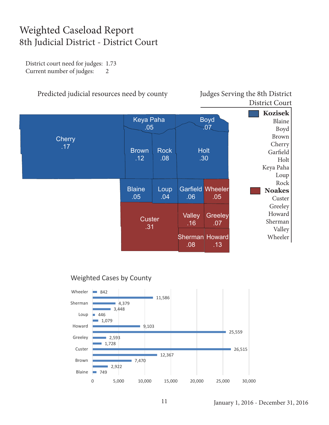### Weighted Caseload Report 8th Judicial District - District Court

District court need for judges: 1.73 Current number of judges: 2

Predicted judicial resources need by county Judges Serving the 8th District

District Court



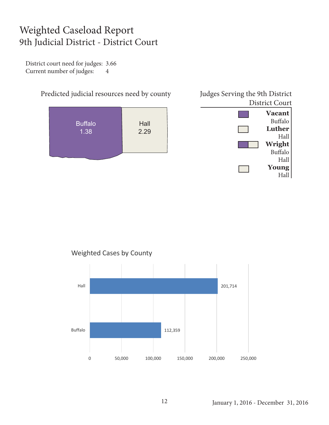### Weighted Caseload Report 9th Judicial District - District Court

District court need for judges: 3.66 Current number of judges: 4





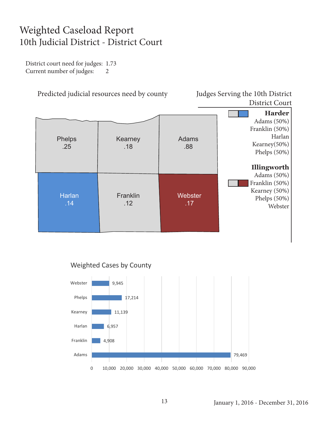### Weighted Caseload Report 10th Judicial District - District Court

District court need for judges: 1.73 Current number of judges: 2

Predicted judicial resources need by county Judges Serving the 10th District

District Court





#### January 1, 2016 - December 31, 2016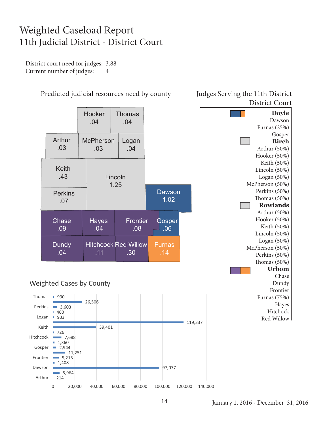### Weighted Caseload Report 11th Judicial District - District Court

District court need for judges: 3.88 Current number of judges: 4



#### Predicted judicial resources need by county Judges Serving the 11th District

## District Court